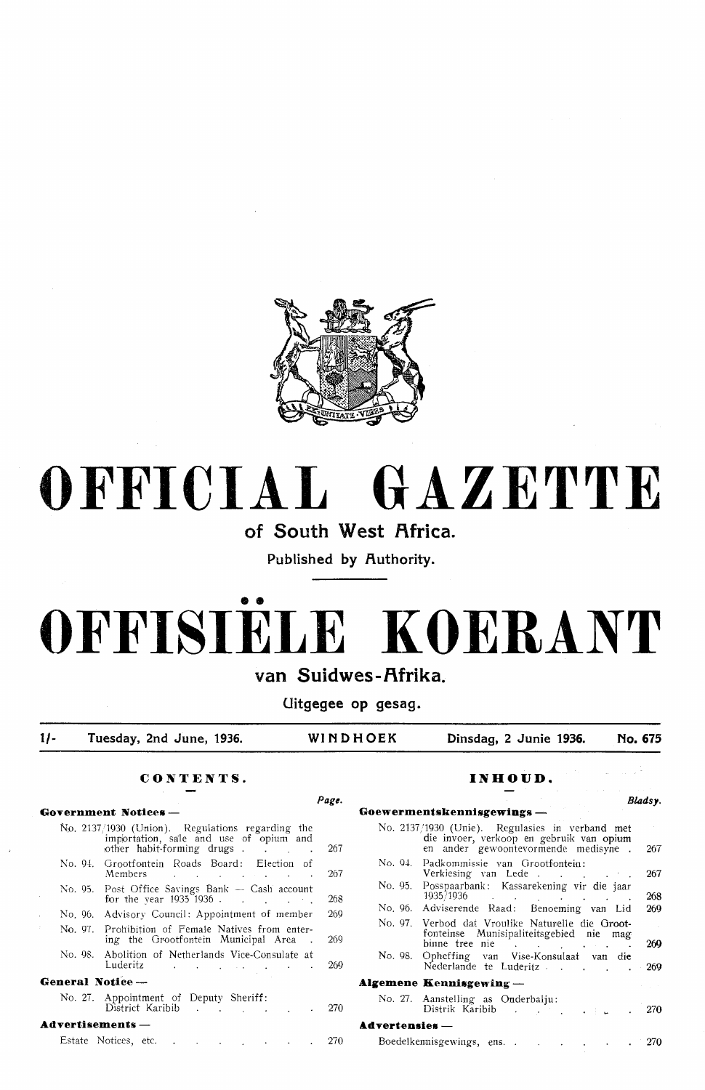

# **OFFICIAL GAZETTE**

**of South West Africa.** 

Published by **Authority**.

# •• **OFFISIELE KOERANT**

## van Suidwes-Afrika.

**Uitgegee op gesag.** 

**1/- Tuesday, 2nd June, 1936. WINDHOEK Dinsdag, 2 Junie 1936. No. 675** 

*Page.* 

*lJladsy.* 

## **CONTENTS.**

## Government Notices -

|         | No. 2137/1930 (Union). Regulations regarding the<br>importation, sale and use of opium and<br>other habit-forming drugs.  | 267  |
|---------|---------------------------------------------------------------------------------------------------------------------------|------|
|         | No. 94. Grootfontein Roads Board: Election of<br>Members<br>and the state of the state of the<br><b>Contract Contract</b> | 267  |
|         | No. 95. Post Office Savings Bank — Cash account<br>for the year $1935 \overline{1}936$ .                                  | 268  |
| No. 96. | Advisory Council: Appointment of member                                                                                   | 269  |
|         | No. 97. Prohibition of Female Natives from enter-<br>ing the Grootfontein Municipal Area                                  | 269  |
| No. 98. | Abolition of Netherlands Vice-Consulate at<br>Luderitz<br>the contract of the contract of the contract of the contract of | 269  |
|         | General Notice-                                                                                                           |      |
|         | No. 27. Appointment of Deputy Sheriff:<br>District Karibib                                                                | 270. |

## **A.d-vertisements** -

Estate Notices, etc. 270  $\sim$  1.

# **INHOUD. Goewermentskennisgewings** -

|                       | No. 2137/1930 (Unie). Regulasies in verband met<br>die invoer, verkoop en gebruik van opium<br>en ander gewoontevormende medisyne.                                                                            | 267 |
|-----------------------|---------------------------------------------------------------------------------------------------------------------------------------------------------------------------------------------------------------|-----|
|                       | No. 94. Padkommissie van Grootfontein:<br>Verkiesing van Lede                                                                                                                                                 | 267 |
|                       | No. 95. Posspaarbank: Kassarekening vir die jaar<br>$1935/1936$ and $1935/1936$                                                                                                                               | 268 |
|                       | No. 96. Adviserende Raad: Benoeming van Lid                                                                                                                                                                   | 269 |
|                       | No. 97. Verbod dat Vroulike Naturelle die Groot-<br>fonteinse Munisipaliteitsgebied nie mag<br>binne tree nie in de contra de la contra de la contra de la contra de la contra de la contra de la contra de l | 269 |
| No. 98.               | Opheffing van Vise-Konsulaat van die<br>Nederlande te Luderitz 269                                                                                                                                            |     |
|                       | Algemene Kennisgewing $-$                                                                                                                                                                                     |     |
|                       | No. 27. Aanstelling as Onderbalju:<br>Distrik Karibib                                                                                                                                                         | 270 |
| <b>Advertensies</b> — |                                                                                                                                                                                                               |     |
|                       | Boedelkennisgewings, ens.                                                                                                                                                                                     | 270 |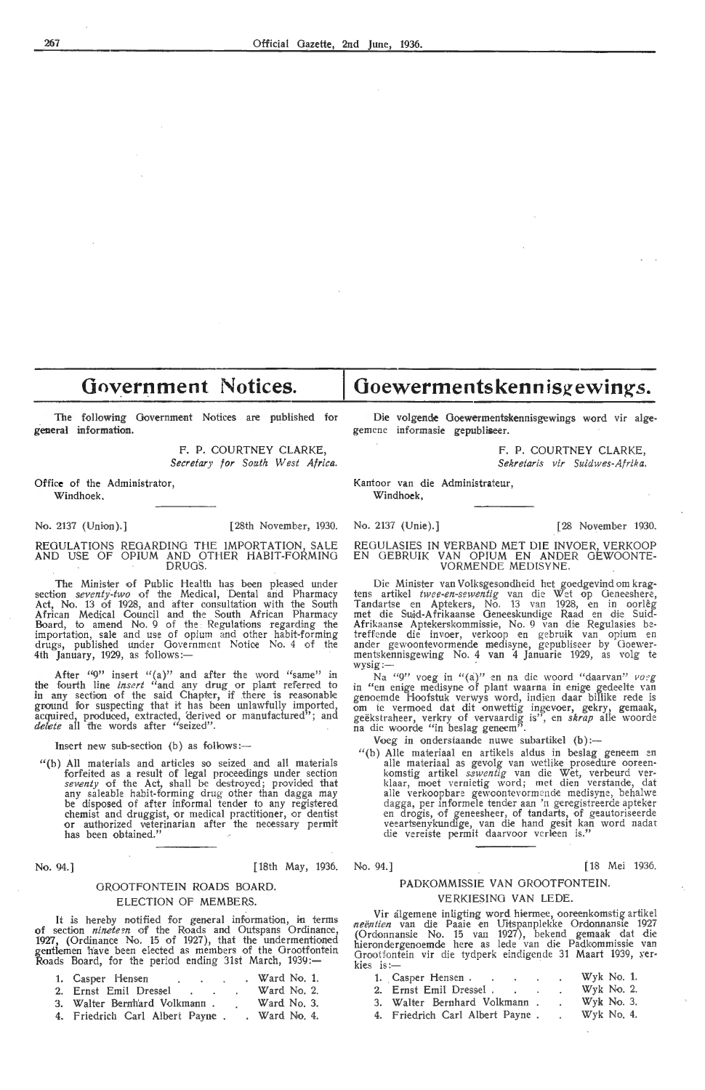# Government Notices.

Goewermentskennisgewings.

The following Government Notices are published for general information.

> F. P. COURTNEY CLARKE, *Secretary for South West Africa.*

Office of the Administrator, Windhoek.

No. 2137 (Union).] [28th November, 1930. No. 2137 (Unie).] [28 November 1930.

REGULATIONS REGARDING THE IMPORTATION, SALE AND USE OF OPIUM AND OTHER HABIT-FORMING DRUGS.

The Minister of Public Health has been pleased under section *seventy-two* of the Medical, Dental and Pharmacy Act, No. 13 of 1928, and after consultation with the South African Medical Council and the South African Pharmacy Board, to amend No. 9 of the Regulations regarding the importation, sale and use of opium and other habit-forming drugs, published under Government Notice No. 4 of the 4th January, 1929, as follows:-

After "9" insert "(a)" and after the word "same" in the fourth line *insert* "and any drug or plant refened *to*  in any section of the said Chapter, if there is reasonable ground for suspecting that it has been unlawfully imported,<br>acquired, produced, extracted, derived or manufactured''; and *delete* all the words after "seized".

Insert new sub-section  $(b)$  as follows:-

"(b) All materials and articles so seized and all materials forfeited as a result of legal proceedings under section seventy of the Act, shall be destroyed; provided that any saleable habit-forming drug other than dagga may be disposed of after informal tender to any registered chemist and druggist, or medical practitioner, or dentist or authorized veterinarian after the necessary permit has been obtained."

No. 94.] [18th May, 1936. No. 94.] [18 Mei 1936.

# ELECTION OF MEMBERS. VERKIESING VAN LEDE.

It is hereby notified for general information, in terms of section *nineteen* of the Roads and Outspans Ordinance, 1927, (Ordinance No. 15 of 1927), that the undermentioned gentlemen have been ekcted as members of the Orootfontein  $\bar{\text{R}}$ oads Board, for the period ending 31st March, 1939:—

- 1. Casper Hensen Ward No. 1.
- 2. Ernst Emil Dressel . . . . Ward No. 2.
- 3. Walter Bernh'ard Volkmann Ward No. 3.
- 4. Friedrich Carl Albert Payne Ward No. 4,

Die volgende Goewermentskennisgewings word vir algegemene informasie gepubliseer.

> F. P. COURTNEY CLARKE, *Sekretaris vir Suidwes-Afrika.*

Kantoor van die Administrateur, Windhoek,

REOULASIES IN VERBAND MET DIE INVOER, VERKOOP EN GEBRUIK VAN OPIUM EN ANDER GEWOONTE-VORMENDE MEDISYNE.

Die Minister van Volksgesondheid het goedgevind om krag-<br>tens artikel *twee-en-sewentig* van die Wet op Geneeshere, Tandartse en Aptekers, No. 13 van 1928, en in oorlêg met die Suid-Afrikaanse Geneeskundige Raad en die Suid-Afrikaanse Aptekerskommissie, No. 9 van die Regulasies be-<br>treffende die invoer, verkoop en gebruik van opium en<br>ander gewoontevormende medisyne, gepubliseer by Goewer-<br>mentskennisgewing No. 4 van 4 Januarie 1929, as volg wysig:-

Na "9" voeg in "(a)" en na die woord "daarvan" *vo:g* in "en enige medisyne of plant waarna in enige gedeelte van<br>genoemde Hoofstuk verwys word, indien daar billike rede is<br>om te vermoed dat dit onwettig ingevoer, gekry, gemaak, geëkstraheer, verkry of vervaardig is'<sup>y</sup>, en *skrap* alle woorde<br>na die woorde "in beslag geneem".

Voeg *in* onderstaande nuwe subartikel (b) :-

 $"$ (b) Alle materiaal en artikels aldus in beslag geneem en alle materiaal as gevolg van wetlike prosedure ooreen- komstig artikel *ss wentig* van die Wet, verbeurd ver- klaar, moet vernietig word; met dien verstande, dat alle verkoopbare gewoontevormende medisyne, behalwe dagga, per informele tender aan 'n geregistreerde apteker<br>en drogis, of geneesheer, of tandarts, of geautoriseerde veeartsenykundige, van die hand gesit kan word nadat die vereiste permit daarvoor verleen is."

# GROOTFONTEIN ROADS BOARD. PADKOMMISSIE VAN GROOTFONTEIN.

Vir algemene inligting word hiermee, ooreenkomstig artikel *nee;ntien* van die Paaie en Uitspanplekke Ordonnansie 1927 (Ordonnansie No. 15 van 1927), bekend gemaak dat die hierondergenoemde here as lede van die Padkommissie van<br>Grootfontein vir die tydperk eindigende 31 Maart 1939, verkies is:-

| 1. Casper Hensen<br>$\mathbf{r}$                   | $\sim$         | $\mathbf{r}$             | $Wyk$ No. 1. |
|----------------------------------------------------|----------------|--------------------------|--------------|
| 2. Ernst Emil Dressel.<br><b>Contract Contract</b> | <b>Service</b> | <b>Contract Contract</b> | $Wyk$ No. 2. |
| 3. Walter Bernhard Volkmann.                       |                | $\mathbf{r}$             | $Wyk$ No. 3. |
| 4. Friedrich Carl Albert Payne.                    |                |                          | Wyk No. 4.   |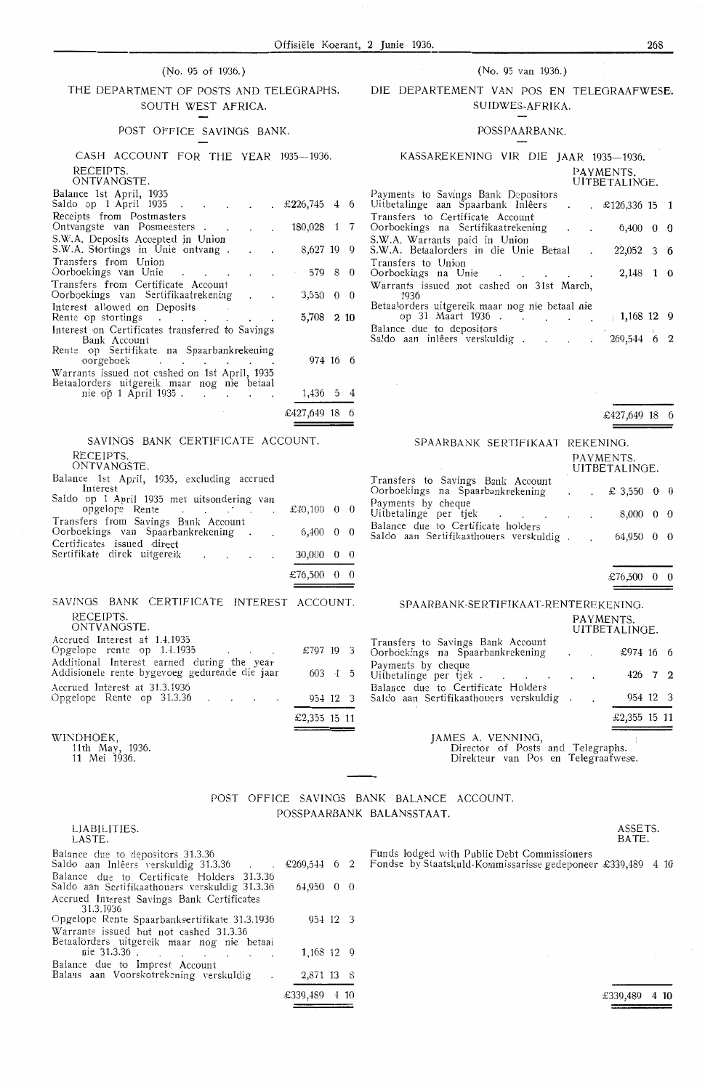## (No. 95 of 1936.)

## THE DEPARTMENT OF POSTS AND TELEGRAPHS. SOUTH WEST AFRICA.

## POST OFFICE SAVINGS BANK.

## CASH ACCOUNT FOR THE YEAR 1935-1936. **RECEIPTS**

### ONTVANGSTE. Balance 1st April, 1935

| Dalance ist April, 1955<br>Saldo op 1 April 1935                                            | $\pm 226,745$ 4 6       |     |
|---------------------------------------------------------------------------------------------|-------------------------|-----|
| Receipts from Postmasters<br>Ontvangste van Posmeesters                                     | 180,028 1 7             |     |
| S.W.A. Deposits Accepted in Union<br>S.W.A. Stortings in Unie ontvang.                      | 8,627 19 9              |     |
| Transfers from Union<br>Oorboekings van Unie                                                | 579                     | 8 0 |
| Transfers from Certificate Account<br>Oorboekings van Sertifikaatrekening                   | $3,550 \quad 0 \quad 0$ |     |
| Interest allowed on Deposits                                                                | 5,708 2 10              |     |
| Rente op stortings<br>Interest on Certificates transferred to Savings                       |                         |     |
| Bank Account<br>Rente op Sertifikate na Spaarbankrekening<br>oorgeboek                      | 974 16 6                |     |
| Warrants issued not cashed on 1st April, 1935<br>Betaalorders uitgereik maar nog nie betaal |                         |     |
| nie op 1 April 1935. $\ldots$                                                               | $1,436$ 5 4             |     |
|                                                                                             |                         |     |

## SAVINGS BANK CERTIFICATE ACCOUNT.

RECE IPTS.

ONTVANGSTE.<br>Balance 1st April

| Balance 1st April, 1935, excluding accrued<br>Interest                   |  |  |                                    |  |
|--------------------------------------------------------------------------|--|--|------------------------------------|--|
| Saldo op 1 April 1935 met uitsondering van                               |  |  | £40,100 0 0                        |  |
| Transfers from Savings Bank Account<br>Oorboekings van Spaarbankrekening |  |  | $6,400 \quad 0 \quad 0$            |  |
| Certificates issued direct<br>Sertifikate direk uitgereik                |  |  | $30,000 \quad 0 \quad 0$           |  |
|                                                                          |  |  | $£76,500 \quad 0 \quad 0$          |  |
| SAVINGS                                                                  |  |  | BANK CERTIFICATE INTEREST ACCOUNT. |  |

# RECEIPTS.

| ONTVANGSTE. |
|-------------|
|-------------|

|                                                                                             | £2,355 15 11 |  |
|---------------------------------------------------------------------------------------------|--------------|--|
| Accrued Interest at 31.3.1936<br>Opgelope Rente op $31.3.36$                                | 954 12 3     |  |
| Additional Interest earned during the year<br>Addisionele rente bygevoeg gedurende die jaar | 603 4 5      |  |
| Accrued Interest at 1.4.1935<br>Opgelope rente op $1.4.1935$                                | £797 19 3    |  |

WINDHOEK, 11th May, 1936. 11 Mei 1936.

## (No. 95 van 1936.)

## DIE DEPARTEMENT VAN POS EN TELEGRAAFWESE. SUIDWES-AFRIKA.

## POSSPAARBANK.

## KASSARE KENING VIR DIE JAAR 1935-1936.

PAYMENTS. UITBETALINGE.

| Payments to Savings Bank Depositors<br>Uitbetalinge aan Spaarbank Inlêers .<br>$\mathbf{r}$                                                                                                                                                                                    | £126,336 15 1 |            |   |
|--------------------------------------------------------------------------------------------------------------------------------------------------------------------------------------------------------------------------------------------------------------------------------|---------------|------------|---|
| Transfers to Certificate Account<br>Oorboekings na Sertifikaatrekening .                                                                                                                                                                                                       | 6,400         | $0\quad 0$ |   |
| S.W.A. Warrants paid in Union<br>S.W.A. Betaalorders in die Unie Betaal                                                                                                                                                                                                        | 22,052        | 3 6        |   |
| Transfers to Union<br>Oorboekings na Unie<br>$\mathbf{r}$ , and the contract of the contract of the contract of the contract of the contract of the contract of the contract of the contract of the contract of the contract of the contract of the contract of the contract o | 2,148 1 0     |            |   |
| Warrants issued not cashed on 31st March,<br>1936                                                                                                                                                                                                                              |               |            |   |
| Betaalorders uitgereik maar nog nie betaal nie<br>op 31 Maart 1936                                                                                                                                                                                                             | $1,168$ 12 9  |            |   |
| Balance due to depositors<br>Saldo aan inlêers verskuldig.<br>$\sim$ $\sim$ $\sim$                                                                                                                                                                                             | 269,544       |            | 2 |
|                                                                                                                                                                                                                                                                                |               |            |   |

£427,649 18 6

| SPAARBANK SERTIFIKAAT REKENING.                                                                |  |                            |  |
|------------------------------------------------------------------------------------------------|--|----------------------------|--|
|                                                                                                |  | PAYMENTS.<br>UITBETALINGE. |  |
| Transfers to Savings Bank Account<br>Oorboekings na Spaarbankrekening $\therefore$ £ 3,550 0 0 |  |                            |  |
| Payments by cheque<br>Uitbetalinge per tjek<br>the contract of the contract of the con-        |  | $8,000 \quad 0 \quad 0$    |  |
| Balance due to Certificate holders<br>Saldo aan Sertifikaathouers verskuldig.                  |  | 64,950 0 0                 |  |

£76,500 *0*  0

ASSETS. **BATE.** 

## SPAARBANK-SERTIFIKAAT-RENTEREKENING.

| JAMES A. VENNING,<br>Director of Posts and Telegraphs.                          |                                 |                      |    |  |
|---------------------------------------------------------------------------------|---------------------------------|----------------------|----|--|
|                                                                                 |                                 | $\pounds2,355$ 15 11 |    |  |
| Balance due to Certificate Holders<br>Saldo aan Sertifikaathouers verskuldig.   |                                 | 954 12 3             |    |  |
| Payments by cheque<br>Uitbetalinge per tjek.<br>$\cdot$ $\cdot$ $\cdot$ $\cdot$ |                                 | 426                  | 72 |  |
| Transfers to Savings Bank Account<br>Oorboekings na Spaarbankrekening           | <b>Contract Contract Street</b> | £974 16 6            |    |  |
|                                                                                 | PAYMENTS.                       | UITBETALINGE.        |    |  |

Direkteur van Pos en Telegraafwese.

## POST OFFICE SAVINGS BANK BALANCE ACCOUNT. **POSSPAARBANK BALANSSTAAT.**

## LIABILITIES. LASTE.

| Balance due to depositors 31.3.36<br>Saldo aan Inlêers verskuldig 31.3.36                    | $\text{\pounds}269.544 \quad 6 \quad 2$ |  | Funds lodged with Public Debt Commissioners<br>Fondse by Staatskuld-Kommissarisse gedeponeer £339,489 $\,$ 4 $\,$ 10 |      |
|----------------------------------------------------------------------------------------------|-----------------------------------------|--|----------------------------------------------------------------------------------------------------------------------|------|
| Balance due to Certificate Holders 31.3.36<br>Saldo aan Sertifikaathouers verskuldig 31.3.36 | 64,950 0 0                              |  |                                                                                                                      |      |
| Accrued Interest Savings Bank Certificates<br>31.3.1936                                      |                                         |  |                                                                                                                      |      |
| Opgelope Rente Spaarbanksertifikate 31.3.1936                                                | 954 12 3                                |  |                                                                                                                      |      |
| Warrants issued but not cashed 31.3.36<br>Betaalorders uitgereik maar nog nie betaal         |                                         |  |                                                                                                                      |      |
|                                                                                              | 1,168 12 9                              |  |                                                                                                                      |      |
| Balance due to Imprest Account                                                               |                                         |  |                                                                                                                      |      |
| Balans aan Voorskotrekening verskuldig                                                       | 2,871 13 8                              |  |                                                                                                                      |      |
|                                                                                              | £339,489 4 10                           |  | £339,489                                                                                                             | 4 10 |
|                                                                                              |                                         |  |                                                                                                                      |      |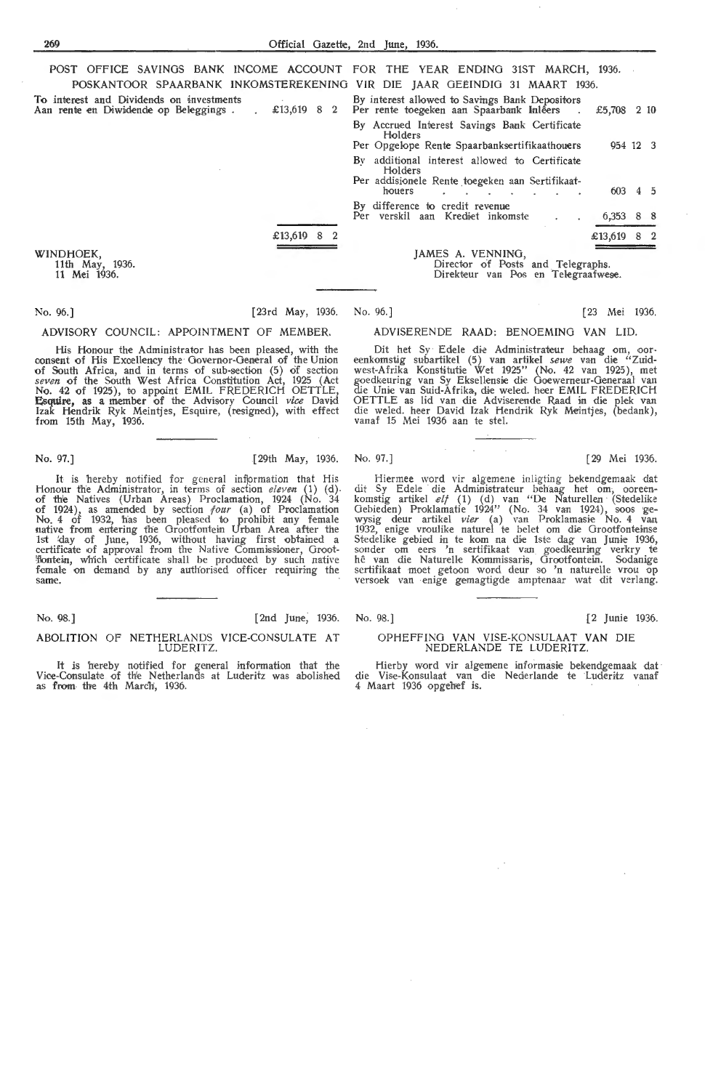POST OFFICE SAVINGS BANK INCOME ACCOUNT FOR THE YEAR ENDING 31ST MARCH, 1936. POSKANTOOR SPAARBANK INKOMSTEREKENING VIR DIE JAAR GEEINDIG 31 MAART 1936. **To** interest and Dividends on investments Aan rente en Diwidende op Beleggings . £13,619 8 2 By interest allowed to Savings Bank Depositors Per rente toegeken aan Spaarbank Inleers By Accrued Interest Savings Bank Certificate Per Opgelope Rente Spaarbanksertifikaathouers By additional interest allowed to Certificate<br>Holders Per addisionele Rente toegeken aan Sertifikaathouers By difference to credit revenue Per verskil aan Krediet inkomste

£13,619 8 2

WINDHOEK, 11th May, 1936. 11 Mei 1936.

## No. 96.] [23rd May, 1936. No. 96.] [23 Mei 1936.

## ADVISORY COUNCIL: APPOINTMENT OF MEMBER.

His Honour the Administrator has been pleased, with the oonsent of His ExoeHency the Oovernor-Oeneral of the Union of South Africa, and in terms of sub-section (5) of section *seven* of the South West Africa Constitution Act, 1925 (Act No. 42 of 1925), to appoint EMIL FREDERICH OETTLE, Esquire, as a member of the Advisory Council vice David Izak Hendrik Ryk Meintjes, Esquire, (resigned), with effect from 15th May, 1936.

## No. 97.] .[29th May, 1936. No. 97.] [29 Mei 1936.

It is hereby notified for general information that His Honour the Administrator, in terms of section *eleven* (1) (d). of the Natives (Urban Areas) Proclamation, 1924 (No. 34 of 1924), as amended by section four (a) of Proclamation No. 4 of 1932, 'has been pleased to prohibit any female native from entering the Grootfontein Urban Area after the<br>1st 'day of June, 1936, without having first obtained a<br>certificate of approval from the Native Commissioner, Grootflontein, which certificate shall be produced by such native female on demand by any authorised officer requiring the same.

No. 98.] [2nd June, 1936.

### ABOLITION OF NETHERLANDS VICE-CONSULATE AT LUDERITZ.

It is hereby notified for general information that the Vice-Consulate of the Netherlands at Luderitz was abolished as from the 4th March, 1936.

£5,708 2 10

954 12 3

603 4 5

6,353 8 8 £13,619 8 2

## ADVISERENDE RAAD: BENOEMING VAN LID.

Director of Posts and Telegraphs.<br>Direkteur van Pos en Telegraafwese.

**JAMES A. VENNING,** 

Dit het Sy Edele di,e Administrafour behaag om, oor- eenkomstig subartikel (5) van artikel *sew.e* van die "Zuidwest-Afrika Konstitutie Wet 1925" (No. 42 van 1925), met goedkeuring van Sy Eksellensie die Ooewerneur-Generaal van<br>die Unie van Suid-Afrika, die weled. heer EMIL FREDERICH OETTLE as lid van die Adviserende Raad in die plek van die weled. heer David Izak Hendrik Ryk Me'ntjes, (bedank), vanaf 15 Mei 1936 aan te stel.

Hiermee word vir algemene inligting bekendgemaak dat dit Sy Edele die Administrateur behaag het om, ooreen-<br>komstig artikel *elf* (1) (d) van "De Naturellen (Stedelike Gebieden) Proklamatie 1924'' (No. 34 van 1924), soos ge-<br>wysig deur artikel *vier* (a) van Proklamasie No. 4 van<br>1932, enige vroulike naturel te belet om die Grootfonteinse Stedelike gebied in te kom na die 1ste dag van Junie 1936, sonder om eers 'n sertifikaat van goedkeuring verkry te hê van die Naturelle Kommissaris, Grootfontein. Sodanige<br>sertifikaat moet getoon word deur so 'n naturelle vrou op versoek van enige gemagtigde amptenaar wat dit verlang.

No. 98.] [2 Junie 1936.

## OPHEFFING VAN VISE-KONSULAAT VAN DIE NEDERLANDE TE LUDERITZ.

Hierby word vir algemene informasie bekendgemaak dat die Vise-Konsulaat van die Nederlande te Luderitz vanaf 4 Maart 1936 opgehef is.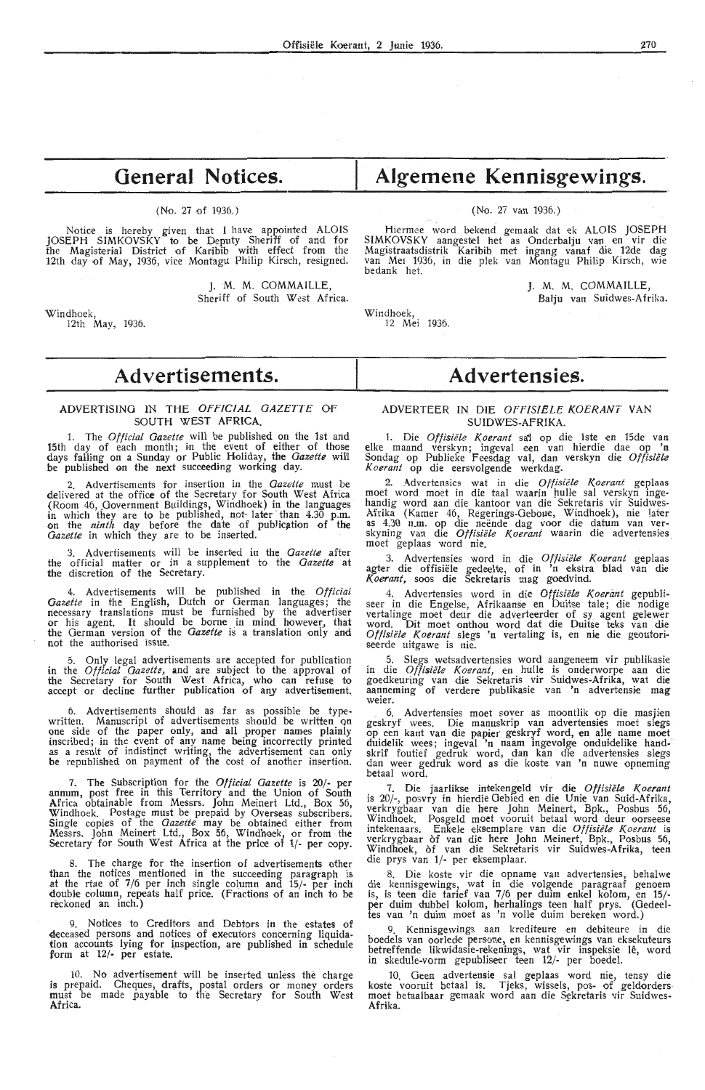# **General Notices.**

## (No. 27 of 1936.)

Notice is hereby given that I have appointed ALOIS<br>JOSEPH SIMKOVSKY to be Deputy Sheriff of and for JOSEPH SIMKOVSKY to be Deputy Sheriff of and for<br>the Magisterial District of Karibib with effect from the<br>12th day of May, 1936, vice Montagu Philip Kirsch, resigned.

> J. M. M. COMMAILLE, Sheriff of South West Africa.

Windhoek,

12th May, 1936.

# **Algemene Kennisgewings.**

## (No. 27 van 1936.)

Hiermee word bekend gemaak dat ek ALOIS JOSEPH SIMKOVSKY aangestel het as Onderbalju van en vir die<br>Magistraatsdistrik Karibib met ingang vanaf die 12de dag<br>van Mei 1936, in die plek van Montagu Philip Kirsch, wie bedank het.

> L. M. M. COMMAILLE Balju van Suidwes-Afrika.

Windhoek, 1911 Mei 1036.

# **Advertisements.**

## ADVERTISING IN THE OFFICIAL GAZETTE OF SOUTH WEST **AFRICA.**

1. The *Official Gazette* will be published on the 1st and 15th day of each month; in the event of either of those days falling on a Sunday or Public Holiday, the *Gazette* will be published on the next succeeding working day.

2 Advertisements for insertion in the *Gazette* must be delivered at the office of the Secretary for South West Africa (Room 46, Government Buildings, Windhoek) in the languages<br>in which they are to be published, not later than 4.30 p.m.<br>on the *ninth* day before the date of publication of the *Gazette* in which they are to be inserted.

Advertisements will be inserted in the *Gazette* after the official matter or in a supplement to the *Gazette* at the discretion of the Secretary.

4. Advertisements will be published in the *Official*  Gazette in the English, Dutch or German languages; the necessary translations must be furnished by the advertiser or his agent. It should be borne in mind however, that the German version of the *Gazette* is a translation only and not the authorised issue.

5. Only legal advertisements are accepted for publication in the *Official Gazette*, and are subject to the approval of the Secretary for South West Africa, who can refuse to accept or decline further publication of any advertisement.

6. Advertisements should as far as possible be typewritten. Manuscript of advertisements should be written on<br>one side of the paper only, and all proper names plainly inscribed; in the event of any name being incorrectly printed as a result of indistinct writing, the advertisement can only be republished on payment of the cost of another insertion.

7. The Subscription for the *Official Gazette* is 20/- per annum, post free in this Territory and the Union of South Africa obtainable from Messrs. John Meinert Ltd., Box 56, Windhoek. Postage must be prepaid by Overseas subscribers. Single copies of the *Gazette* may be obtained either from Messrs. John Meinert Ltd., Box 56, Windhoek, or from the Secretary for South West Africa at the price of 1/- per copy.

8. The charge for the insertion of advertisements other than the notices mentioned in the succeeding paragraph is at the rtae of 7/6 per inch single column and 15/- per inch double column, repeats half price. (Fractions of an inch to be reckoned an inch.

9. Notices to Creditors and Debtors in the estates of deceased persons and notices of executors concerning liquidation accounts lying for inspection, are published in schedule form at 12/- per estate

10. No advertisement will be inserted unless the charge is prepaid. Cheques, drafts, postal orders or money orders must be made payable to the Secretary for South West **Africa.** 

# **Advertensies.**

## ADVERTEER IN DIE OFF/S!ELE KOERANT VAN SUIDWES-AFRIKA.

1. Die *Offisii!le Koerant* sai op die lste en 15de van elke maand verskyn; ingeval een van hierdie dae op **'n**  Sondag op Publieke Feesdag val, dan verskyn die *Offisiek K oerant* op die eersvolgende werkdag.

2. Advertensies wat in die *Offisiele Koerant* geplaas moet word moet in die taal waarin hulle sal verskyn ingehandig word aan die kantoor van die Sekretaris vir Suidwes-Afrika (Kamer 46, Regerings-Geboue, Windhoek), nie later as 4.30 n.m. op die neënde dag voor die datum van verskyning van die *Offisiële Koerant* waarin die advert

3. Advertensies word in die *Offisiele Koerant* geplaas agter die offisiële gedeelte, of in 'n ekstra blad van die *Koerant,* soos die Sekretaris mag goedvind.

4. Advertensies word in die Offisiële Koerant gepubli-<br>seer in die Engelse, Afrikaanse en Duitse tale; die nodige vertalinge moet deur die adverteerder of sy agent gelewer word. Dit moet onthou word dat die Duitse teks van die Offisiële Koerant slegs 'n vertaling is, en nie die geoutori-<br>seerde uitgawe is nie.

5. Slegs wetsadvertensies word aangeneem vir publikasie in die *Offisiele Koerant,* en hulle is onderworpe aan die goedkeuring van die Sekretaris vir Suidwes-Afrika, wat die aanneming of verdere publikasie van 'n advertensie mag weier.

6. Advertensies moet sover as moontlik op die masjien geskryf wees. Die manuskrip van advertensies moet slegs op een kant van die papier geskryf word, en aUe name moet duidelik wees; ingeval 'n naam ingevolge onduidelike handskrif foutief gedruk word, dan kan die advertensies slegs dan weer gedruk word as die koste van 'n nuwe opneming betaal word.

7. Die jaarlikse intekengeld vir die Offisiële Koerant is 20/-, posvry in hierdie Gebied en die Unie van Suid-Afrika, verkrygbaar van die here John Meinert, Bpk., Posbus 56, Windhoek. Posgeld moet vooruit betaal word deur oorseese intekenaars. Enkele eksemplare van die *Offisiële Koerant* is verkrygbaar of van die here John Meinert, Bpk., Posbus 56, Windhoek, of van die Sekretaris vir Suidwes-Afrika, teen windhoek, of van die oeksemplaar.

8. Die koste vir die opname van advertensies, behalwe die kennisgewings, wat in die volgende paragraaf genoem is, is teen die tarief van 7/6 per duim enkel kolom, en 15/- per duim dubbel kolom, herhalings teen half prys. (Gedeeltes van 'n duim moet as 'n volle duim bereken word.)

9. Kennisgewings aan krediteure en debiteure in die boedels van oorlede persone, en kennisgewings van eksekuteurs betreffende likwidasie-rekenings, wat vir inspeksie lê, word in skedule-vorm gepubliseer teen 12/- per boedel.

10. Geen advertensie sal geplaas word nie, tensy die koste vooruit betaal is. Tjeks, wissels, pos- of geldorders-<br>moet betaalbaar gemaak word aan die Sekretaris vir Suidwes-Afrika.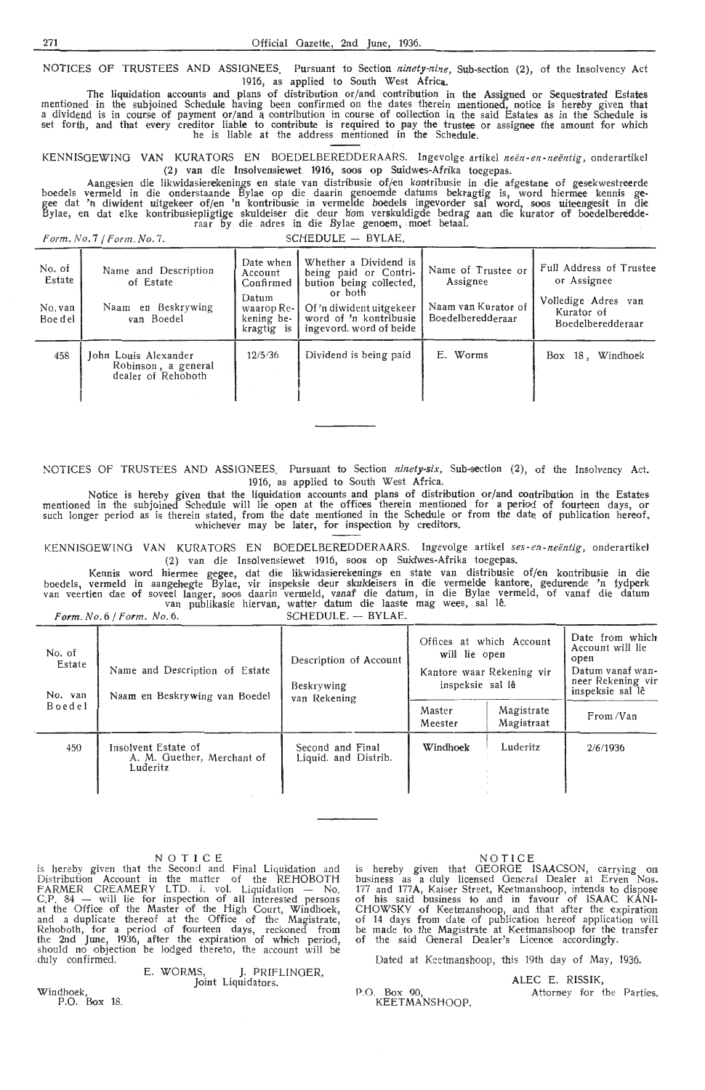NOTICES OF TRUSTEES AND ASSIGNEES. Pursuant to Section *ninety-nine*, Sub-section (2), of the Insolvency Act 1916, as applied to South West **Africa.** 

The liquidation accounts and plans of distribution or/ and contribution in the Assigned or Sequestrated Estates mentioned in the subjoined Schedule having been confirmed on the dates therein mentioned, notice is hereby given that<br>a dividend is in course of payment or/and a contribution in course of collection in the said Estates as set forth, and that every creditor liable to contribute is required to pay the trustee or assignee the amount for which he is liable at the address mentioned in the Schedule.

KENNISGEWING VAN KURATORS EN BOEDELBEREDDERAARS. Ingevolge artikel *neën-en-neëntig*, onderartikel (2J van die lnsolvensiewet. 1916, soos op Suidwes-Afrika toegepas.

Aangesien die likwidasierekenings en state van distribusie of/en kontribusie in die afgestane of gesekwestreerde boedels vermeld in die onderstaande Bylae op die daarin genoemde datums bekragtig is, word hiermee kennis gegee dat 'n diwident uitgekeer of/en 'n kontribusie in vermelde boedels ingevorder sal word, soos uiteengesit in die Bylae, en dat elke kontribusiepligtige skuldeiser die deur hom verskuldigde bedrag aan die kurator of boedelberedde<br>raar by die adres in die Bylae genoem, moet betaal.

*Form. No. 7 / Form. No. 7.* SCHEDULE - BYLAE.

| No. of<br>Estate<br>No. van<br>Boe d el | Name and Description<br>of Estate<br>Naam en Beskrywing<br>van Boedel | Date when<br>Account<br>Confirmed<br>Datum<br>waarop Re-<br>kening be-<br>kragtig is | Whether a Dividend is<br>being paid or Contri-<br>bution being collected.<br>or both<br>Of 'n diwident uitgekeer<br>word of 'n kontribusie<br>ingevord, word of beide | Name of Trustee or<br>Assignee<br>Naam van Kurator of<br>Boedelberedderaar | Full Address of Trustee<br>or Assignee<br>Volledige Adres van<br>Kurator of<br>Boedelberedderaar |
|-----------------------------------------|-----------------------------------------------------------------------|--------------------------------------------------------------------------------------|-----------------------------------------------------------------------------------------------------------------------------------------------------------------------|----------------------------------------------------------------------------|--------------------------------------------------------------------------------------------------|
| 458                                     | John Louis Alexander<br>Robinson, a general<br>dealer of Rehoboth     | 12/5/36                                                                              | Dividend is being paid                                                                                                                                                | E. Worms                                                                   | Windhoek<br>Box 18,                                                                              |

NOTICES OF TRUSTEES AND ASSIGNEES. Pursuant to Section *ninety-six*, Sub-section (2), of the Insolvency Act. 1916, as applied to South West Africa.

Notice is hereby given that the liquidation accounts and plans of distribution or/and contribution in the Estates mentioned in the subjoined Schedule will lie open at the offices therein mentioned for a period of fourteen days, or<br>such longer period as is therein stated, from the date mentioned in the Schedule or from the date of publ

KENNISGEWING VAN KURATORS EN BOEDELBEREDDERAARS. Ingevolge artikel ses-en-neëntig, onderartikel (2) van die Insolvensiewet 1916, soos op Suidwes-Afrika toegepas.

Kennis word hiermee gegee, dat die likwidasierekenings en state van distribusie of/en kontribusie in die boedels, vermeld in aangehegte Bylae, vir inspeksie deur skuldeisers in die vermelde kantore, gedurende 'n tydperk<br>van veertien dae of soveel langer, soos daarin vermeld, vanaf die datum, in die Bylae vermeld, of vanaf die

| No. of                                                                                                                                       | Date from which<br>Offices at which Account<br>Account will lie<br>will lie open                                   |
|----------------------------------------------------------------------------------------------------------------------------------------------|--------------------------------------------------------------------------------------------------------------------|
| Description of Account<br>Estate<br>Name and Description of Estate<br>Beskrywing<br>No. van<br>Naam en Beskrywing van Boedel<br>van Rekening | open<br>Datum vanaf wan-<br>Kantore waar Rekening vir<br>neer Rekening vir<br>inspeksie sal lê<br>inspeksie sal lê |
| Boedel<br>Master<br>Meester                                                                                                                  | Magistrate<br>From /Van<br>Magistraat                                                                              |
| Windhoek<br>Second and Final<br>Insolvent Estate of<br>450<br>Liquid. and Distrib.<br>A. M. Guether, Merchant of<br>Luderitz                 | Luderitz<br>2/6/1936                                                                                               |

P.O. Box 90,

KEETMANSHOOP.

NOTICE<br>is hereby given that the Second and Final Liquidation and Distribution Account in the matter of the REHOBOTH FARMER CREAMERY LTD. *i.* vol. Liquidation  $-$  No. C.P. 84  $-$  will lie for inspection of all interested persons at the Offioe of the Master of the High Court, Windhoek, and a duplicate ther.eof at the Offioe of the Magistrate, Rehoboth, for a period of fourteen days, reckoned from the 2nd June, 1936, after the expiration of which period, should no objection be lodged thereto, the account will be duly confirmed.

## E. WORMS, J. PRIFLINGER, Joint Liquidators.

Windhoek,<br>P.O. Box 18.

## NOTICE

is hereby given that GEORGE ISAACSON, carrying on business as a duly licensed General Dealer at Erven Nos. 177 and 177A, Kaiser Street, Keetmanshoop, intends to dispose of his said business to and in favour of ISAAC KANI-CHOWSKY of Keetmanshoop, and that after the expiration of 14 days from date of publication hereof application will be made to the Magistrate at Keetmanshoop for the transfer<br>of the said General Dealer's Licence accordingly.

Dated at Keetmanshoop, this 19th day of May, 1936.

ALEC E. RISSIK, Attorney for the Parties.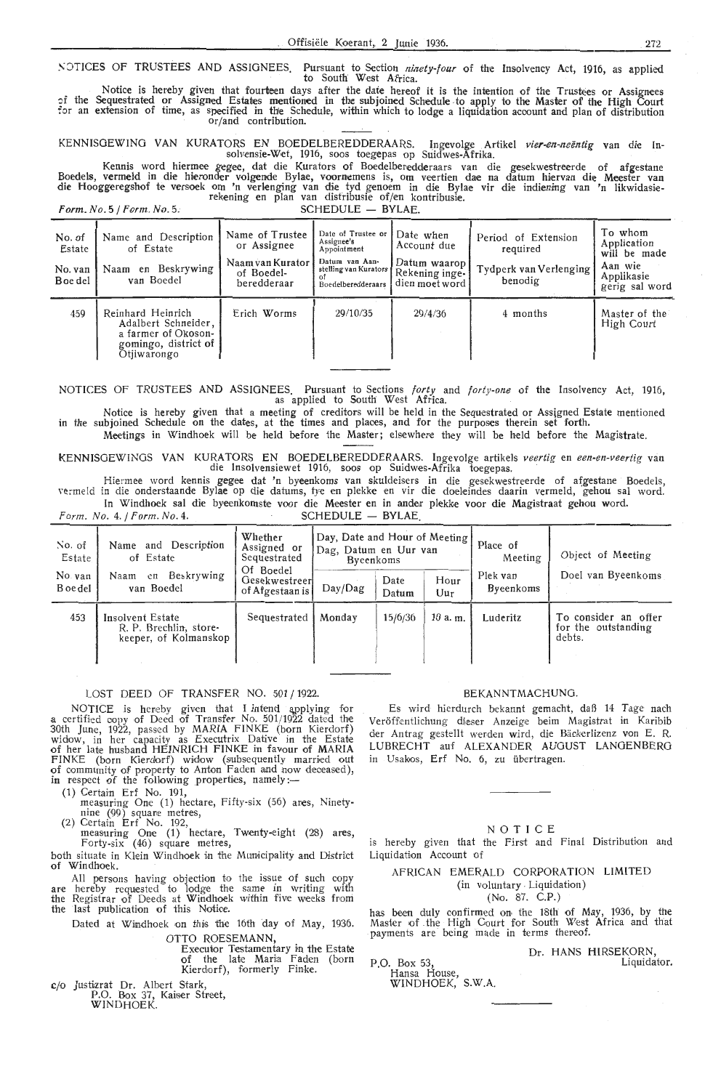.. Offisiele Koerant,. 2 Junie 1936. 272

SOTICES OF TRUSTEES AND ASSIGNEES. Pursuant to Section *ninety-four* of the Insolvency Act, 1916, as applied to South West Africa.

Notice is hereby given that fourteen days after the date hereof it is the intention of the Trustees or Assignees :of the Sequestrated or Assigned Estates mentioned in the subjoined Schedule . to apply to the Master of the High Court for an extension of time, as specified in the Schedule, within which to lodge a liquidation account and plan of distribution or/and contribution.

KENNISGEWING VAN KURATORS EN BOEDELBEREDDERAARS. Ingevolge Artikel *vier-en-neëntig* van die Insolvensi**e-W**et, 1916, soos toegepas op Suidwes-Afrika.

Kennis word hiermee gegee, dat die Kurators of Boedelberedderaars van die gesekwestreerde of afgestane Boedels, vermeld in die hieronder volgende Bylae, voornemens is, om veertien dae na datum hiervan die Meester van<br>die Hooggeregshof te versoek om 'n verlenging van die tyd genoem in die Bylae vir die indiening van 'n likwi rekening en plan van distribusie of/en kontribusie.

 $Form. No. 5 / Form. No. 5.$  SCHEDULE - BYLAE.

| No. of<br>Estate<br>No. van<br>Boe del | Name and Description<br>of Estate<br>Naam en Beskrywing<br>van Boedel                                  | Name of Trustee<br>or Assignee<br>Naam van Kurator<br>of Boedel-<br>beredderaar | Date of Trustee or<br>Assignee's<br>Appointment<br>Datum van Aan-<br>stelling van Kurators<br>of<br>Boedelberedderaars | Date when<br>Account due<br>Datum waarop!<br>Rekening inge-<br>dien moet word | Period of Extension<br>required<br>Tydperk van Verlenging<br>benodig | To whom<br>Application<br>will be made<br>Aan wie<br>Applikasie<br>gerig sal word |
|----------------------------------------|--------------------------------------------------------------------------------------------------------|---------------------------------------------------------------------------------|------------------------------------------------------------------------------------------------------------------------|-------------------------------------------------------------------------------|----------------------------------------------------------------------|-----------------------------------------------------------------------------------|
| 459                                    | Reinhard Heinrich<br>Adalbert Schneider,<br>a farmer of Okoson-<br>gomingo, district of<br>Otjiwarongo | Erich Worms                                                                     | 29/10/35                                                                                                               | 29/4/36                                                                       | 4 months                                                             | Master of the<br>High Court                                                       |

NOTICES OF TRUSTEES AND ASSIGNEES. Pursuant to Sections *forty* and *forty-one* of the Insolvency Act, 1916, as applied to South West Africa.

Notice is hereby given that a meeting of creditors will be held in the Sequestrated or Assigned Estate mentioned in the subjoined Schedule on the dates, at the times and places, and for the purposes therein set forth. M<del>e</del>etings in Windhoek will be held before the Master; elsewhere they will be held before the Magis**t**rate.

KENNISGEWINGS VAN KURATORS EN BOEDELBEREDDERAARS. Ingevolge artikels veertig en een-en-veertig van die Insolvensiewet 1916, soos op Suidwes-Afrika toegepas.

Hiermee word kennis gegee dat 'n byeenkoms van skuldeisers in die gesekwestreerde of afgestane Boedels, vermeld in die onderstaande Bylae op die datums, tye en plekke en vir die doeleindes daarin vermeld, gehou sal word. In Windhoek sal die byeenkomste voor die Meester en in ander plekke voor die Magistraat gehou word.<br> $\circ$ . 4. / Form. No. 4.

Form. No.  $4.$  / Form. No.  $4.$ 

| No. of<br>Estate    | Name and Description<br>of Estate                                   | Whether<br>Assigned or<br>Sequestrated<br>Of Boedel | Day, Date and Hour of Meeting  <br>Dag, Datum en Uur van<br>Byeenkoms |               |             | Place of<br>Meeting   | Object of Meeting                                     |
|---------------------|---------------------------------------------------------------------|-----------------------------------------------------|-----------------------------------------------------------------------|---------------|-------------|-----------------------|-------------------------------------------------------|
| No. van<br>B oe del | Beskrywing<br>Naam<br>en<br>van Boedel                              | Gesekwestreer<br>of Afgestaan is                    | Day(Dag)                                                              | Date<br>Datum | Hour<br>Uur | Plek van<br>Byeenkoms | Doel van Byeenkoms                                    |
| 453                 | Insolvent Estate<br>R. P. Brechlin, store-<br>keeper, of Kolmanskop | Sequestrated                                        | Monday                                                                | 15/6/36       | $10a$ . m.  | Luderitz              | To consider an offer<br>for the outstanding<br>debts. |

## LOST DEED OF TRANSFER NO. 501 / 1922.

NOTICE is hereby given that I intend applying for a certified copy of Deed of Transfer No. 501/1922 dated the 30th June, 1922, passed by MARIA FINKE (born Kierdorf) widow, in her capacity as Executrix Dative in the Estate<br>of her late husband HEINRICH FINKE in favour of MARIA FINKE (born Kierdorf) widow (subsequently married out of community of property to Anton Faden and now deceased), in respect of the following properties, namely:-

(1) Certain Erf No. 191,

- measuring One (1) hectare, Fifty-six (56) ares, Ninetynine (99) square metres,
- 

(2) Certain Erf No. 192, measuring One (1) hectare, Twenty-eight (28) ares, Forty-six (46) square metres,

both situate in Klein Windhoek in the Municipality and District of Windhoek. Windhoek.

All persons having objection to the issue of such copy are hereby requested to lodge the same in writing with the Registrar of Deeds at Windhoek within five weeks from the last publication of this Notice.

Dated at Windhoek on this the 16th day of May, 1936. OTTO ROESEMANN,

Executor Testamentary in the Estate of the late Maria Faden (born Kierdorf), formerly Finke.

**c/o** Justizrat Dr. Albert Stark,

P.O. Box 37, Kaiser Street, WINDHOEK.

## BEKANNTMACHUNG.

Es wird hierdurch bekannt gemacht, daB 14 Tage nach Veröffentlichung dieser Anzeige beim Magistrat in Karibib der Antrag gestellt werden wird, die Bäckerlizenz von E. R. LUBRECHT auf ALEXANDER AUGUST LANGENBERG in Usakos, Erf No. 6, zu übertragen.

## NOTICE

is hereby given that the First and Final Distribution and Liquidation Account of

## AFRICAN EMERALD CORPORATION LIMITED (in voluntary . Liquidation) (No. 87. C.P.)

has been duly confirmed on the 18th of May, 1936, by the Master of the High Court for South West Africa and that payments are being made in terms thereof.

P.O. Box 53, Hansa House, WINDHOEK, S.W.A. Dr. HANS HIRSEKORN, Liquidator.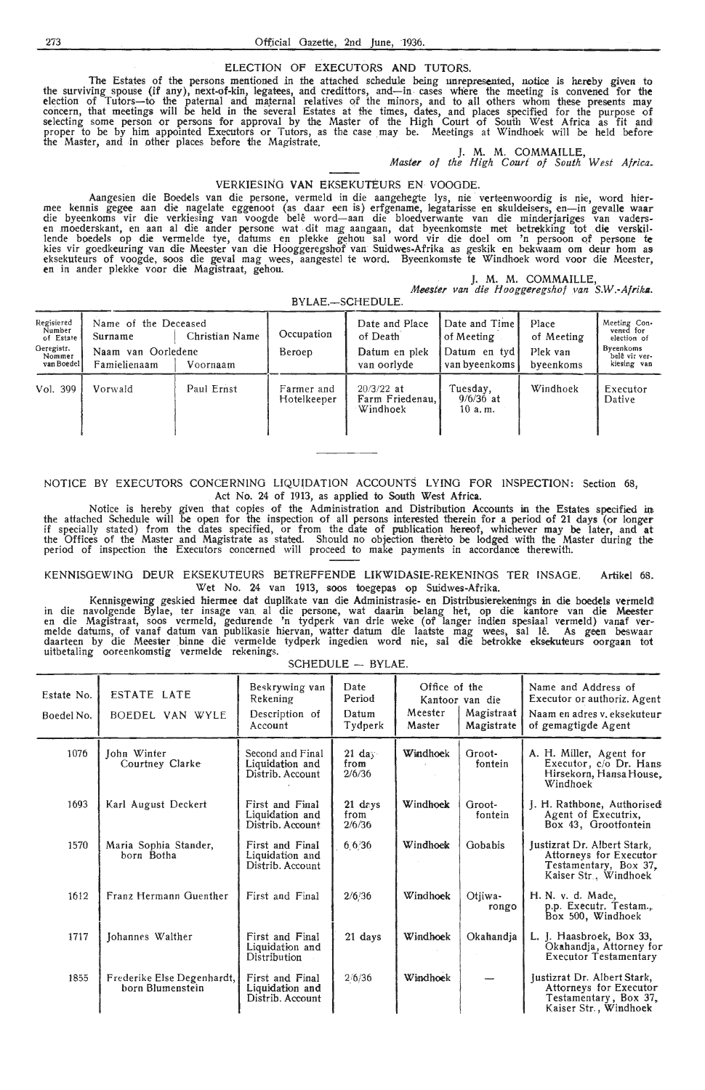# 273 Official Oazette, 2nd June, 1936.<br>ELECTION OF EXECUTORS AND TUTORS.

The Estates of the persons mentioned in the attached schedule being unreprescnfed, notice *is* hereby given to the surviving spouse (if any), next-of-kin, legatees, and credittors, and-in cases where the meeting is convened for **the**  election of Tutors-to the paternal and maternal relatives of the minors, and to all others whom these presents may concern, that meetings will be held in the several Estates at the times, dates, and places specified for the purpose of selecting some person or persons for approval by the Master of the High Court of South West Africa as fit and proper to be by him appointed Executors or Tutors, as the case may be. Meetings at Windhoek will be held before the Master, and in other places before the Magistrate.

J. M. M. COMMAILLE,<br>*Master of the High Court of South West Africa.* 

## VERKIESING VAN EKSEKUTEURS EN VOOGDE.

Aangesien die Boedels van die persone, vermeld in die aangehegte lys, nie verteenwoordig is nie, word hier-<br>mee kennis gegee aan die nagelate eggenoot (as daar een is) erfgename, legatarisse en skuldeisers, en—in gevalle w lende boedels op die vermelde tye, datums en plekke gehou sal word vir die doel om 'n persoon of persone te kies vir goedkeuring van die Meester van die Hooggeregshof van Suidwes-Afrika as geskik en bekwaam om deur hom as<br>eksekuteurs of voogde, soos die geval mag wees, aangestel te word. Byeenkomste te Windhoek word voor die Mee

**Meester** *van die Hooggeregshof van* **S.W.-Afrikll.** 

BYLAE.-SCHEDULE.

| Regisiered<br>Number<br>of Estate<br>Geregistr.<br>Nommer<br>van Boedel | Name of the Deceased<br>Surname<br>Naam van Oorledene<br>Famielienaam | Christian Name<br>Voornaam | Occupation<br>Beroep      | Date and Place<br>of Death<br>Datum en plek<br>van oorlyde | Date and Time<br>of Meeting<br>Datum en tyd<br>van byeenkoms | Place<br>of Meeting<br>Plek van<br>byeenkoms | Meeting Con-<br>vened for<br>election of<br><b>Byeenkoms</b><br>belê vir ver-<br>kiesing van |
|-------------------------------------------------------------------------|-----------------------------------------------------------------------|----------------------------|---------------------------|------------------------------------------------------------|--------------------------------------------------------------|----------------------------------------------|----------------------------------------------------------------------------------------------|
| Vol. 399                                                                | Vorwald                                                               | Paul Ernst                 | Farmer and<br>Hotelkeeper | $20/3/22$ at<br>Farm Friedenau,<br>Windhoek                | Tuesday,<br>$9/6/36$ at<br>10a.m.                            | Windhoek                                     | Executor<br>Dative                                                                           |

## NOTICE BY EXECUTORS CONCERNING LIQUIDATION ACCOUNTS LYING FOR INSPECTION: Section 68, . Act No. 24 of 1913, as applied to South West **Africa.**

Notice is hereby given that copies of the Administration and Distribution Accounts in the Estates specified in the attached Schedule will be open for the inspection of all persons interested therein for a period of 21 days (or longer if specially stated) from the dates specified, or from the date of publication hereof, whichever may be later, and **at**  the Offices of the Master and Magistrate as stated. Should no objection thereto be lodged with the Master during the period of inspection the Executors concerned will proceed to make payments in accordanoe therewith.

KENNISGEWING DEUR EKSEKUTEURS BETREFFENDE LIKWIDASIE-REKENINGS TER INSAGE. Artikel 68. Wet No. 24 van 1913, soos toegepas op Suidwes-Afrika.

Kennisgewing geskied hiermee dat duplikate van die Administrasie- en Distribusierekenings in die boedels vermeld in die navolgende Bylae, ter insage van al die persone, wat daarin belang het, op die kantore van die Meester<br>en die Magistraat, soos vermeld, gedurende 'n tydperk van drie weke (of langer indien spesiaal vermeld) vanaf<br>me daarteen by die Meester binne die vermelde tydperk ingedien word nie, sal die betrokke eksekuteurs oorgaan tot uitbetaling ooreenkomstig vermelde rekenings.

SCHEDULE - BYLAE.

| Estate No.<br>Boedel No. | ESTATE LATE<br>BOEDEL VAN WYLE                 | Beskrywing van<br>Rekening<br>Description of<br>Account | Date<br>Period<br>Datum<br>Tydperk | Office of the<br>Meester<br>Master | Kantoor van die<br>Magistraat<br>Magistrate | Name and Address of<br>Executor or authoriz, Agent<br>Naam en adres v. eksekuteur<br>of gemagtigde Agent |
|--------------------------|------------------------------------------------|---------------------------------------------------------|------------------------------------|------------------------------------|---------------------------------------------|----------------------------------------------------------------------------------------------------------|
| 1076                     | John Winter<br>Courtney Clarke                 | Second and Final<br>Liquidation and<br>Distrib. Account | $21 \text{ day}$<br>from<br>2/6/36 | Windhoek                           | Groot-<br>fontein                           | A. H. Miller, Agent for<br>Executor, c/o Dr. Hans<br>Hirsekorn, Hansa House,<br>Windhoek                 |
| 1693                     | Karl August Deckert                            | First and Final<br>Liquidation and<br>Distrib. Account  | $21$ days<br>from<br>2/6/36        | Windhoek                           | Groot-<br>fontein                           | J. H. Rathbone, Authorised<br>Agent of Executrix,<br>Box 43, Grootfontein                                |
| 1570                     | Maria Sophia Stander,<br>born Botha            | First and Final<br>Liquidation and<br>Distrib. Account  | 6,6/36                             | Windhoek                           | Gobabis                                     | Justizrat Dr. Albert Stark,<br>Attorneys for Executor<br>Testamentary, Box 37.<br>Kaiser Str., Windhoek  |
| 1612                     | Franz Hermann Guenther                         | First and Final                                         | 2/6/36                             | Windhoek                           | Otiiwa-<br>rongo                            | H. N. v. d. Made,<br>p.p. Executr. Testam.,<br>Box 500, Windhoek                                         |
| 1717                     | Johannes Walther                               | First and Final<br>Liquidation and<br>Distribution      | 21 days                            | Windhoek                           | Okahandja                                   | L. J. Haasbroek, Box 33,<br>Okahandja, Attorney for<br><b>Executor Testamentary</b>                      |
| 1855                     | Frederike Else Degenhardt,<br>born Blumenstein | First and Final<br>Liquidation and<br>Distrib. Account  | 2/6/36                             | Windhoek                           | --                                          | Justizrat Dr. Albert Stark,<br>Attorneys for Executor<br>Testamentary, Box 37,<br>Kaiser Str., Windhoek  |